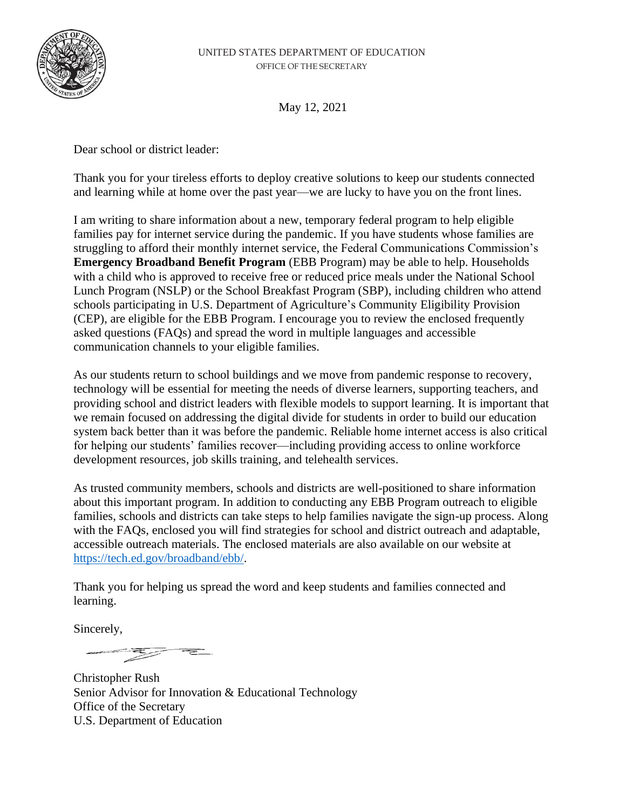

May 12, 2021

Dear school or district leader:

Thank you for your tireless efforts to deploy creative solutions to keep our students connected and learning while at home over the past year—we are lucky to have you on the front lines.

I am writing to share information about a new, temporary federal program to help eligible families pay for internet service during the pandemic. If you have students whose families are struggling to afford their monthly internet service, the Federal Communications Commission's **Emergency Broadband Benefit Program** (EBB Program) may be able to help. Households with a child who is approved to receive free or reduced price meals under the National School Lunch Program (NSLP) or the School Breakfast Program (SBP), including children who attend schools participating in U.S. Department of Agriculture's Community Eligibility Provision (CEP), are eligible for the EBB Program. I encourage you to review the enclosed frequently asked questions (FAQs) and spread the word in multiple languages and accessible communication channels to your eligible families.

As our students return to school buildings and we move from pandemic response to recovery, technology will be essential for meeting the needs of diverse learners, supporting teachers, and providing school and district leaders with flexible models to support learning. It is important that we remain focused on addressing the digital divide for students in order to build our education system back better than it was before the pandemic. Reliable home internet access is also critical for helping our students' families recover—including providing access to online workforce development resources, job skills training, and telehealth services.

As trusted community members, schools and districts are well-positioned to share information about this important program. In addition to conducting any EBB Program outreach to eligible families, schools and districts can take steps to help families navigate the sign-up process. Along with the FAQs, enclosed you will find strategies for school and district outreach and adaptable, accessible outreach materials. The enclosed materials are also available on our website at [https://tech.ed.gov/broadband/ebb/.](https://tech.ed.gov/?page_id=7163)

Thank you for helping us spread the word and keep students and families connected and learning.

Sincerely,

<u>esta de la propie</u>

Christopher Rush Senior Advisor for Innovation & Educational Technology Office of the Secretary U.S. Department of Education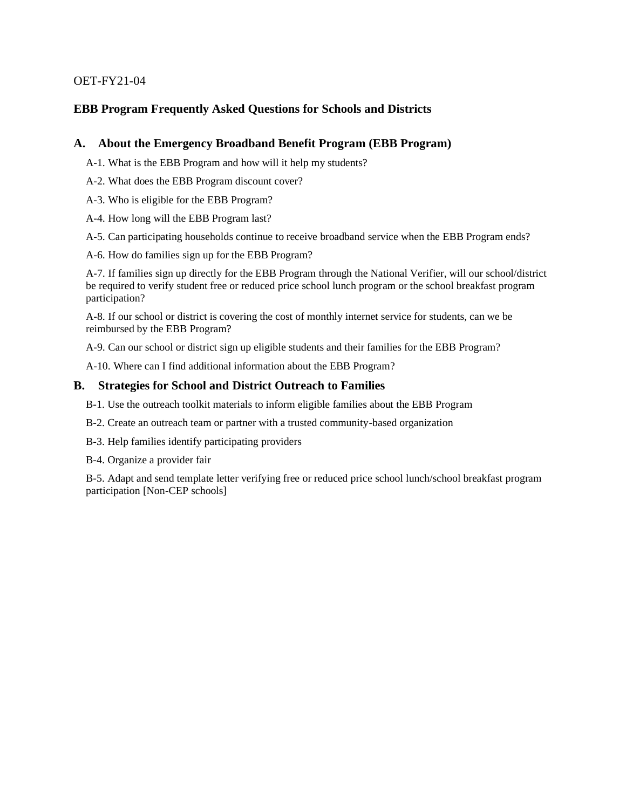#### OET-FY21-04

### **EBB Program Frequently Asked Questions for Schools and Districts**

#### **A. [About the Emergency Broadband Benefit Program \(EBB Program\)](#page-2-0)**

- [A-1. What is the EBB Program and how will it help my students?](#page-2-1)
- [A-2. What does the EBB Program discount cover?](#page-2-2)
- [A-3. Who is eligible for the](#page-2-3) EBB Program?
- [A-4. How long will the EBB Program last?](#page-3-0)
- [A-5. Can participating households continue to receive broadband service when the EBB Program ends?](#page-3-1)
- [A-6. How do families sign up for the EBB Program?](#page-3-2)

[A-7. If families sign up directly for the EBB Program through the National Verifier, will our school/district](#page-5-0)  [be required to verify student free or reduced price school lunch program or the school breakfast program](#page-5-0)  [participation?](#page-5-0)

[A-8. If our school or district is covering the cost of monthly internet service for students, can we be](#page-5-1)  [reimbursed by the EBB Program?](#page-5-1)

[A-9. Can our school or district sign up eligible students and their families for the EBB Program?](#page-5-2)

[A-10. Where can I find additional information about the EBB Program?](#page-6-0)

#### **B. [Strategies for School and District Outreach to Families](#page-6-1)**

- [B-1. Use the outreach toolkit materials to inform eligible families about the EBB Program](#page-6-2)
- [B-2. Create an outreach team or partner with a trusted community-based organization](#page-6-3)
- [B-3. Help families identify participating providers](#page-6-4)
- [B-4. Organize a provider fair](#page-7-0)

[B-5. Adapt and send template letter verifying free or reduced price school lunch/school breakfast program](#page-7-1)  [participation \[Non-CEP schools\]](#page-7-1)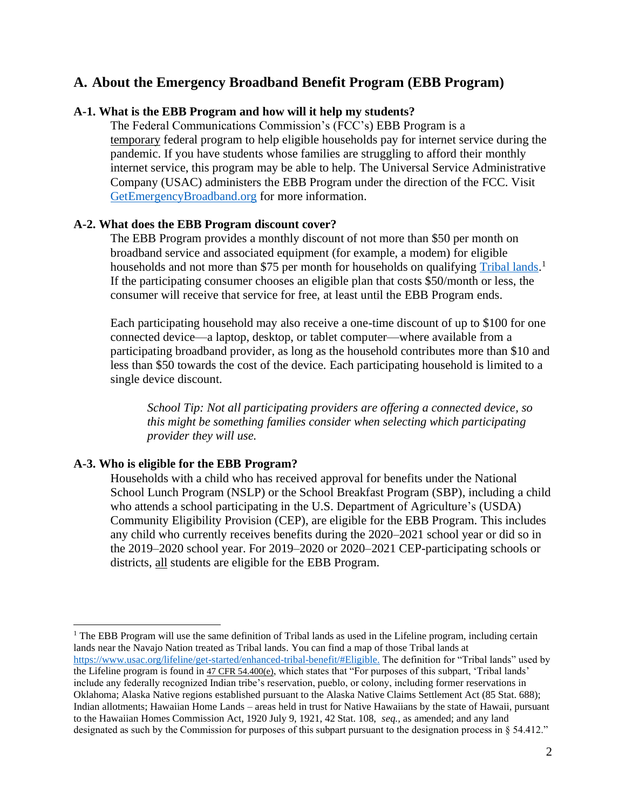# <span id="page-2-0"></span>**A. About the Emergency Broadband Benefit Program (EBB Program)**

### <span id="page-2-1"></span>**A-1. What is the EBB Program and how will it help my students?**

The Federal Communications Commission's (FCC's) EBB Program is a temporary federal program to help eligible households pay for internet service during the pandemic. If you have students whose families are struggling to afford their monthly internet service, this program may be able to help. The Universal Service Administrative Company (USAC) administers the EBB Program under the direction of the FCC. Visit [GetEmergencyBroadband.org](https://getemergencybroadband.org/) for more information.

#### <span id="page-2-2"></span>**A-2. What does the EBB Program discount cover?**

The EBB Program provides a monthly discount of not more than \$50 per month on broadband service and associated equipment (for example, a modem) for eligible households and not more than \$75 per month for households on [qualifying Tribal lands.](https://www.usac.org/about/tribal-nations/)<sup>1</sup> If the participating consumer chooses an eligible plan that costs \$50/month or less, the consumer will receive that service for free, at least until the EBB Program ends.

Each participating household may also receive a one-time discount of up to \$100 for one connected device—a laptop, desktop, or tablet computer—where available from a participating broadband provider, as long as the household contributes more than \$10 and less than \$50 towards the cost of the device. Each participating household is limited to a single device discount.

*School Tip: Not all participating providers are offering a connected device, so this might be something families consider when selecting which participating provider they will use.*

#### <span id="page-2-3"></span>**A-3. Who is eligible for the EBB Program?**

Households with a child who has received approval for benefits under the National School Lunch Program (NSLP) or the School Breakfast Program (SBP), including a child who attends a school participating in the U.S. Department of Agriculture's (USDA) Community Eligibility Provision (CEP), are eligible for the EBB Program. This includes any child who currently receives benefits during the 2020–2021 school year or did so in the 2019–2020 school year. For 2019–2020 or 2020–2021 CEP-participating schools or districts, all students are eligible for the EBB Program.

 $<sup>1</sup>$  The EBB Program will use the same definition of Tribal lands as used in the Lifeline program, including certain</sup> lands near the Navajo Nation treated as Tribal lands. You can find a map of those Tribal lands at [https://www.usac.org/lifeline/get-started/enhanced-tribal-benefit/#Eligible.](https://www.usac.org/lifeline/get-started/enhanced-tribal-benefit/#Eligible) The definition for "Tribal lands" used by the Lifeline program is found in [47 CFR 54.400\(e\)](https://ecfr.federalregister.gov/current/title-47/chapter-I/subchapter-B/part-54/subpart-E/section-54.400#p-54.400(e)), which states that "For purposes of this subpart, 'Tribal lands' include any federally recognized Indian tribe's reservation, pueblo, or colony, including former reservations in Oklahoma; Alaska Native regions established pursuant to the Alaska Native Claims Settlement Act (85 Stat. 688); Indian allotments; Hawaiian Home Lands – areas held in trust for Native Hawaiians by the state of Hawaii, pursuant to the Hawaiian Homes Commission Act, 1920 July 9, 1921, 42 Stat. 108, *seq.,* as amended; and any land designated as such by the Commission for purposes of this subpart pursuant to the designation process in § 54.412."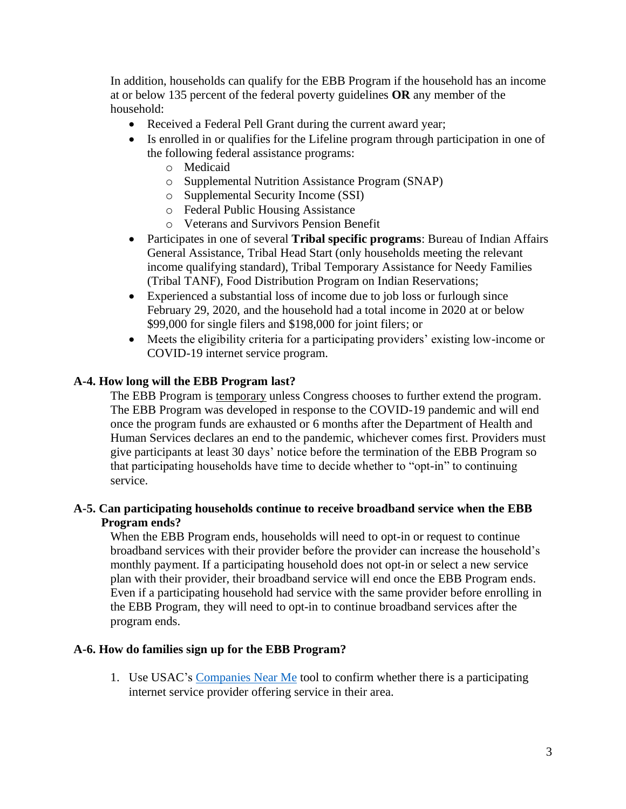In addition, households can qualify for the EBB Program if the household has an income at or below 135 percent of the federal poverty guidelines **OR** any member of the household:

- Received a Federal Pell Grant during the current award year;
- Is enrolled in or qualifies for the Lifeline program through participation in one of the following federal assistance programs:
	- o Medicaid
	- o Supplemental Nutrition Assistance Program (SNAP)
	- o Supplemental Security Income (SSI)
	- o Federal Public Housing Assistance
	- o Veterans and Survivors Pension Benefit
- Participates in one of several **Tribal specific programs**: Bureau of Indian Affairs General Assistance, Tribal Head Start (only households meeting the relevant income qualifying standard), Tribal Temporary Assistance for Needy Families (Tribal TANF), Food Distribution Program on Indian Reservations;
- Experienced a substantial loss of income due to job loss or furlough since February 29, 2020, and the household had a total income in 2020 at or below \$99,000 for single filers and \$198,000 for joint filers; or
- Meets the eligibility criteria for a participating providers' existing low-income or COVID-19 internet service program.

## <span id="page-3-0"></span>**A-4. How long will the EBB Program last?**

The EBB Program is temporary unless Congress chooses to further extend the program. The EBB Program was developed in response to the COVID-19 pandemic and will end once the program funds are exhausted or 6 months after the Department of Health and Human Services declares an end to the pandemic, whichever comes first. Providers must give participants at least 30 days' notice before the termination of the EBB Program so that participating households have time to decide whether to "opt-in" to continuing service.

## <span id="page-3-1"></span>**A-5. Can participating households continue to receive broadband service when the EBB Program ends?**

When the EBB Program ends, households will need to opt-in or request to continue broadband services with their provider before the provider can increase the household's monthly payment. If a participating household does not opt-in or select a new service plan with their provider, their broadband service will end once the EBB Program ends. Even if a participating household had service with the same provider before enrolling in the EBB Program, they will need to opt-in to continue broadband services after the program ends.

### <span id="page-3-2"></span>**A-6. How do families sign up for the EBB Program?**

1. Use USAC's [Companies Near Me](https://getemergencybroadband.org/companies-near-me/) tool to confirm whether there is a participating internet service provider offering service in their area.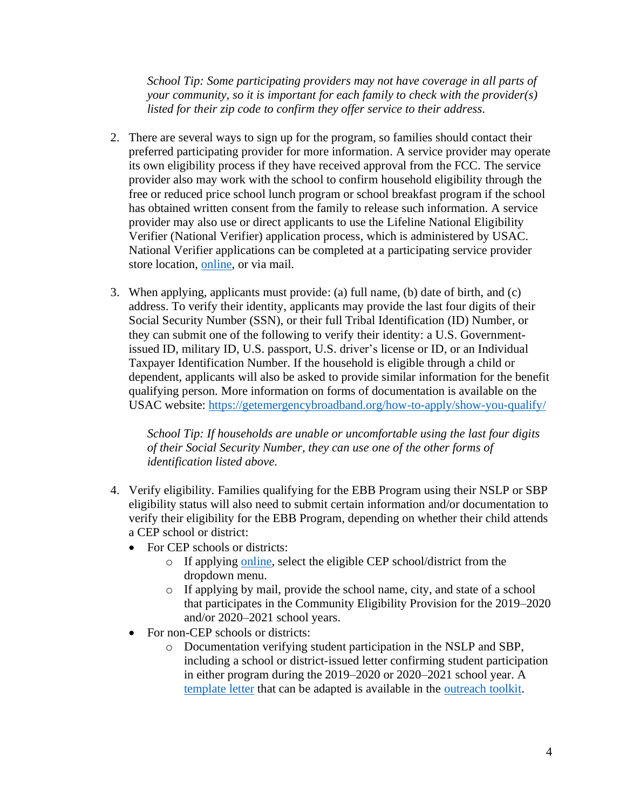*School Tip: Some participating providers may not have coverage in all parts of your community, so it is important for each family to check with the provider(s) listed for their zip code to confirm they offer service to their address.*

- 2. There are several ways to sign up for the program, so families should contact their preferred participating provider for more information. A service provider may operate its own eligibility process if they have received approval from the FCC. The service provider also may work with the school to confirm household eligibility through the free or reduced price school lunch program or school breakfast program if the school has obtained written consent from the family to release such information. A service provider may also use or direct applicants to use the Lifeline National Eligibility Verifier (National Verifier) application process, which is administered by USAC. National Verifier applications can be completed at a participating service provider store location, [online,](https://getemergencybroadband.org/how-to-apply/) or via mail.
- 3. When applying, applicants must provide: (a) full name, (b) date of birth, and (c) address. To verify their identity, applicants may provide the last four digits of their Social Security Number (SSN), or their full Tribal Identification (ID) Number, or they can submit one of the following to verify their identity: a U.S. Governmentissued ID, military ID, U.S. passport, U.S. driver's license or ID, or an Individual Taxpayer Identification Number. If the household is eligible through a child or dependent, applicants will also be asked to provide similar information for the benefit qualifying person. More information on forms of documentation is available on the USAC website:<https://getemergencybroadband.org/how-to-apply/show-you-qualify/>

*School Tip: If households are unable or uncomfortable using the last four digits of their Social Security Number, they can use one of the other forms of identification listed above.*

- 4. Verify eligibility. Families qualifying for the EBB Program using their NSLP or SBP eligibility status will also need to submit certain information and/or documentation to verify their eligibility for the EBB Program, depending on whether their child attends a CEP school or district:
	- For CEP schools or districts:
		- o If applying [online,](https://getemergencybroadband.org/how-to-apply/) select the eligible CEP school/district from the dropdown menu.
		- o If applying by mail, provide the school name, city, and state of a school that participates in the Community Eligibility Provision for the 2019–2020 and/or 2020–2021 school years.
	- For non-CEP schools or districts:
		- o Documentation verifying student participation in the NSLP and SBP, including a school or district-issued letter confirming student participation in either program during the 2019–2020 or 2020–2021 school year. A [template letter](https://tech.ed.gov/files/2021/05/Template-FRPL-Verification-Letter-FCC-EBBProgram.docx) that can be adapted is available in the [outreach toolkit.](https://tech.ed.gov/broadband/ebb/)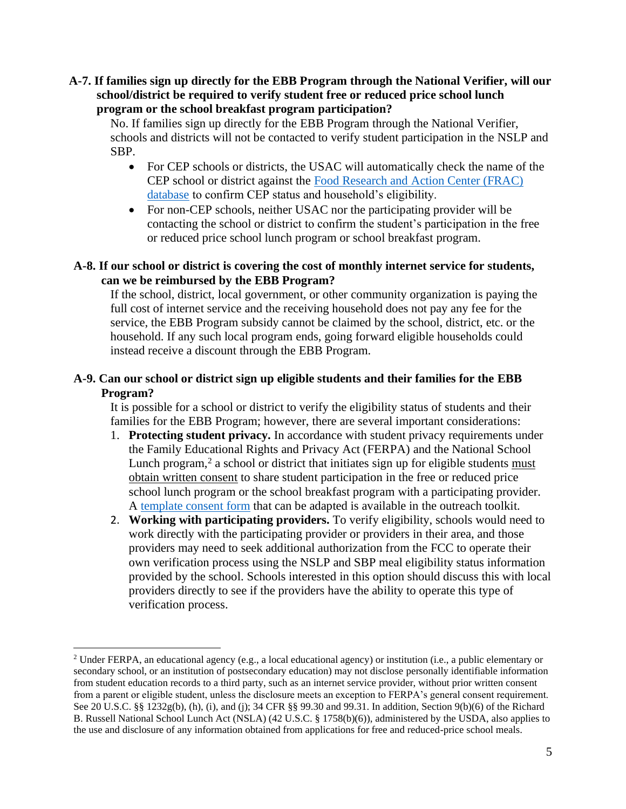<span id="page-5-0"></span>**A-7. If families sign up directly for the EBB Program through the National Verifier, will our school/district be required to verify student free or reduced price school lunch program or the school breakfast program participation?**

No. If families sign up directly for the EBB Program through the National Verifier, schools and districts will not be contacted to verify student participation in the NSLP and SBP.

- For CEP schools or districts, the USAC will automatically check the name of the CEP school or district against the [Food Research and Action Center \(FRAC\)](https://frac.org/community-eligibility-database/)  [database](https://frac.org/community-eligibility-database/) to confirm CEP status and household's eligibility.
- For non-CEP schools, neither USAC nor the participating provider will be contacting the school or district to confirm the student's participation in the free or reduced price school lunch program or school breakfast program.

## <span id="page-5-1"></span>**A-8. If our school or district is covering the cost of monthly internet service for students, can we be reimbursed by the EBB Program?**

If the school, district, local government, or other community organization is paying the full cost of internet service and the receiving household does not pay any fee for the service, the EBB Program subsidy cannot be claimed by the school, district, etc. or the household. If any such local program ends, going forward eligible households could instead receive a discount through the EBB Program.

## <span id="page-5-2"></span>**A-9. Can our school or district sign up eligible students and their families for the EBB Program?**

It is possible for a school or district to verify the eligibility status of students and their families for the EBB Program; however, there are several important considerations:

- 1. **Protecting student privacy.** In accordance with student privacy requirements under the Family Educational Rights and Privacy Act (FERPA) and the National School Lunch program,<sup>2</sup> a school or district that initiates sign up for eligible students must obtain written consent to share student participation in the free or reduced price school lunch program or the school breakfast program with a participating provider. A [template consent form](https://tech.ed.gov/files/2021/05/Sample-Consent-Form-FCC-EBBProgram.docx) that can be adapted is available in the outreach toolkit.
- 2. **Working with participating providers.** To verify eligibility, schools would need to work directly with the participating provider or providers in their area, and those providers may need to seek additional authorization from the FCC to operate their own verification process using the NSLP and SBP meal eligibility status information provided by the school. Schools interested in this option should discuss this with local providers directly to see if the providers have the ability to operate this type of verification process.

<sup>2</sup> Under FERPA, an educational agency (e.g., a local educational agency) or institution (i.e., a public elementary or secondary school, or an institution of postsecondary education) may not disclose personally identifiable information from student education records to a third party, such as an internet service provider, without prior written consent from a parent or eligible student, unless the disclosure meets an exception to FERPA's general consent requirement. See 20 U.S.C. §§ 1232g(b), (h), (i), and (j); 34 CFR §§ 99.30 and 99.31. In addition, Section 9(b)(6) of the Richard B. Russell National School Lunch Act (NSLA) (42 U.S.C. § 1758(b)(6)), administered by the USDA, also applies to the use and disclosure of any information obtained from applications for free and reduced-price school meals.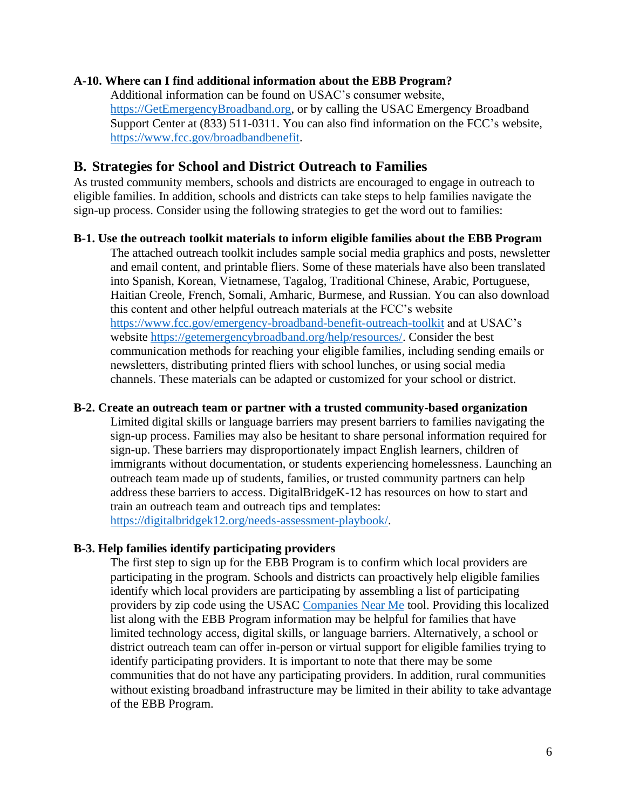### <span id="page-6-0"></span>**A-10. Where can I find additional information about the EBB Program?**

Additional information can be found on USAC's consumer website, [https://GetEmergencyBroadband.org,](https://getemergencybroadband.org/) or by calling the USAC Emergency Broadband Support Center at (833) 511-0311. You can also find information on the FCC's website, [https://www.fcc.gov/broadbandbenefit.](https://www.fcc.gov/broadbandbenefit)

## <span id="page-6-1"></span>**B. Strategies for School and District Outreach to Families**

As trusted community members, schools and districts are encouraged to engage in outreach to eligible families. In addition, schools and districts can take steps to help families navigate the sign-up process. Consider using the following strategies to get the word out to families:

#### <span id="page-6-2"></span>**B-1. Use the outreach toolkit materials to inform eligible families about the EBB Program**

The attached outreach toolkit includes sample social media graphics and posts, newsletter and email content, and printable fliers. Some of these materials have also been translated into Spanish, Korean, Vietnamese, Tagalog, Traditional Chinese, Arabic, Portuguese, Haitian Creole, French, Somali, Amharic, Burmese, and Russian. You can also download this content and other helpful outreach materials at the FCC's website <https://www.fcc.gov/emergency-broadband-benefit-outreach-toolkit> and at USAC's website [https://getemergencybroadband.org/help/resources/.](https://getemergencybroadband.org/help/resources/) Consider the best communication methods for reaching your eligible families, including sending emails or newsletters, distributing printed fliers with school lunches, or using social media channels. These materials can be adapted or customized for your school or district.

#### <span id="page-6-3"></span>**B-2. Create an outreach team or partner with a trusted community-based organization**

Limited digital skills or language barriers may present barriers to families navigating the sign-up process. Families may also be hesitant to share personal information required for sign-up. These barriers may disproportionately impact English learners, children of immigrants without documentation, or students experiencing homelessness. Launching an outreach team made up of students, families, or trusted community partners can help address these barriers to access. DigitalBridgeK-12 has resources on how to start and train an outreach team and outreach tips and templates: [https://digitalbridgek12.org/needs-assessment-playbook/.](https://digitalbridgek12.org/needs-assessment-playbook/)

### <span id="page-6-4"></span>**B-3. Help families identify participating providers**

The first step to sign up for the EBB Program is to confirm which local providers are participating in the program. Schools and districts can proactively help eligible families identify which local providers are participating by assembling a list of participating providers by zip code using the USAC [Companies Near Me](https://getemergencybroadband.org/companies-near-me/) tool. Providing this localized list along with the EBB Program information may be helpful for families that have limited technology access, digital skills, or language barriers. Alternatively, a school or district outreach team can offer in-person or virtual support for eligible families trying to identify participating providers. It is important to note that there may be some communities that do not have any participating providers. In addition, rural communities without existing broadband infrastructure may be limited in their ability to take advantage of the EBB Program.